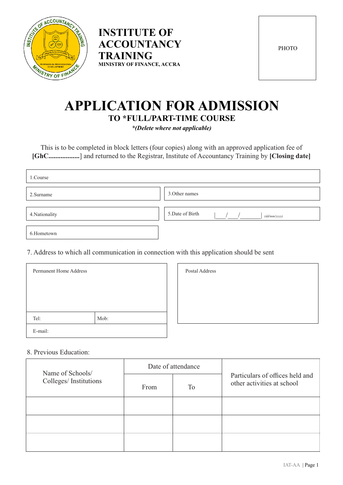



**PHOTO** 

# **APPLICATION FOR ADMISSION TO \*FULL/PART-TIME COURSE**

*\*(Delete where not applicable)*

This is to be completed in block letters (four copies) along with an approved application fee of **[GhC..................**] and returned to the Registrar, Institute of Accountancy Training by **[Closing date]**

| 1.Course       |                                 |
|----------------|---------------------------------|
| 2. Surname     | 3. Other names                  |
| 4. Nationality | 5.Date of Birth<br>(dd/mm/yyyy) |
| 6.Hometown     |                                 |

7. Address to which all communication in connection with this application should be sent

| <b>Permanent Home Address</b> |      | Postal Address |
|-------------------------------|------|----------------|
|                               |      |                |
|                               |      |                |
| Tel:                          | Mob: |                |
| E-mail:                       |      |                |

| Postal Address |  |  |
|----------------|--|--|
|                |  |  |
|                |  |  |
|                |  |  |
|                |  |  |

#### 8. Previous Education:

| Name of Schools/      | Date of attendance |    |                                                               |
|-----------------------|--------------------|----|---------------------------------------------------------------|
| Colleges/Institutions | From               | To | Particulars of offices held and<br>other activities at school |
|                       |                    |    |                                                               |
|                       |                    |    |                                                               |
|                       |                    |    |                                                               |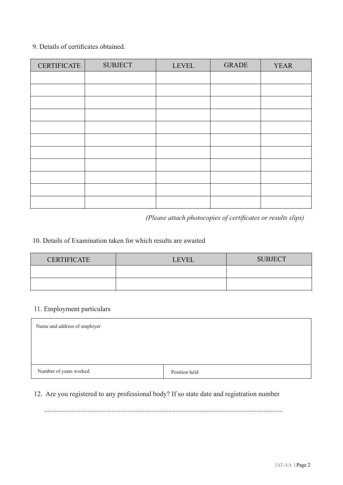#### 9. Details of certificates obtained.

| <b>CERTIFICATE</b> | <b>SUBJECT</b> | <b>LEVEL</b> | <b>GRADE</b> | <b>YEAR</b> |
|--------------------|----------------|--------------|--------------|-------------|
|                    |                |              |              |             |
|                    |                |              |              |             |
|                    |                |              |              |             |
|                    |                |              |              |             |
|                    |                |              |              |             |
|                    |                |              |              |             |
|                    |                |              |              |             |
|                    |                |              |              |             |
|                    |                |              |              |             |
|                    |                |              |              |             |
|                    |                |              |              |             |

*(Please attach photocopies of certificates or results slips)*

## 10. Details of Examination taken for which results are awaited

| <b>CERTIFICATE</b> | <b>LEVEL</b> | <b>SUBJECT</b> |
|--------------------|--------------|----------------|
|                    |              |                |
|                    |              |                |

## 11. Employment particulars

| Name and address of employer |               |  |  |
|------------------------------|---------------|--|--|
|                              |               |  |  |
|                              |               |  |  |
| Number of years worked       | Position held |  |  |

### 12. Are you registered to any professional body? If so state date and registration number

..........................................................................................................................................